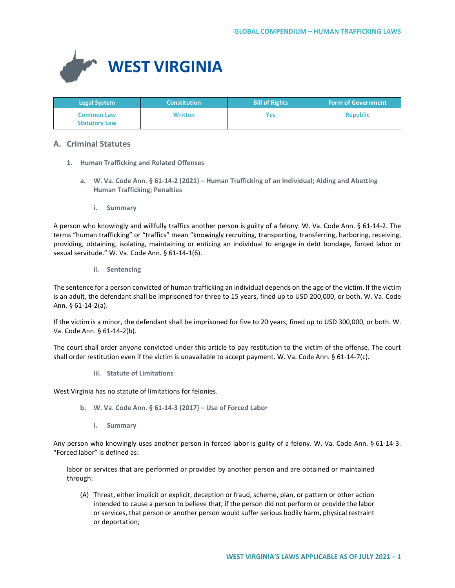

| <b>Legal System</b>                       | <b>Constitution</b> | <b>Bill of Rights</b> | <b>Form of Government</b> |
|-------------------------------------------|---------------------|-----------------------|---------------------------|
| <b>Common Law</b><br><b>Statutory Law</b> | <b>Written</b>      | Yes                   | <b>Republic</b>           |

# **A. Criminal Statutes**

- **1. Human Trafficking and Related Offenses**
	- **a. W. Va. Code Ann. § 61-14-2 (2021) – Human Trafficking of an Individual; Aiding and Abetting Human Trafficking; Penalties**
		- **i. Summary**

A person who knowingly and willfully traffics another person is guilty of a felony. W. Va. Code Ann. § 61-14-2. The terms "human trafficking" or "traffics" mean "knowingly recruiting, transporting, transferring, harboring, receiving, providing, obtaining, isolating, maintaining or enticing an individual to engage in debt bondage, forced labor or sexual servitude." W. Va. Code Ann. § 61-14-1(6).

**ii. Sentencing**

The sentence for a person convicted of human trafficking an individual depends on the age of the victim. If the victim is an adult, the defendant shall be imprisoned for three to 15 years, fined up to USD 200,000, or both. W. Va. Code Ann. § 61-14-2(a).

If the victim is a minor, the defendant shall be imprisoned for five to 20 years, fined up to USD 300,000, or both. W. Va. Code Ann. § 61-14-2(b).

The court shall order anyone convicted under this article to pay restitution to the victim of the offense. The court shall order restitution even if the victim is unavailable to accept payment. W. Va. Code Ann. § 61-14-7(c).

**iii. Statute of Limitations**

West Virginia has no statute of limitations for felonies.

- **b. W. Va. Code Ann. § 61-14-3 (2017) – Use of Forced Labor**
	- **i. Summary**

Any person who knowingly uses another person in forced labor is guilty of a felony. W. Va. Code Ann. § 61-14-3. "Forced labor" is defined as:

labor or services that are performed or provided by another person and are obtained or maintained through:

(A) Threat, either implicit or explicit, deception or fraud, scheme, plan, or pattern or other action intended to cause a person to believe that, if the person did not perform or provide the labor or services, that person or another person would suffer serious bodily harm, physical restraint or deportation;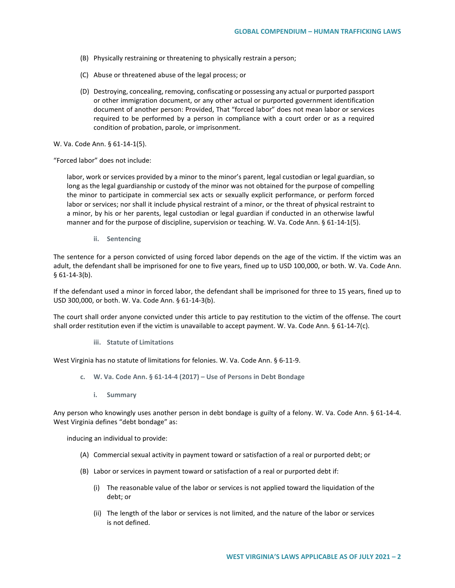- (B) Physically restraining or threatening to physically restrain a person;
- (C) Abuse or threatened abuse of the legal process; or
- (D) Destroying, concealing, removing, confiscating or possessing any actual or purported passport or other immigration document, or any other actual or purported government identification document of another person: Provided, That "forced labor" does not mean labor or services required to be performed by a person in compliance with a court order or as a required condition of probation, parole, or imprisonment.

W. Va. Code Ann. § 61-14-1(5).

"Forced labor" does not include:

labor, work or services provided by a minor to the minor's parent, legal custodian or legal guardian, so long as the legal guardianship or custody of the minor was not obtained for the purpose of compelling the minor to participate in commercial sex acts or sexually explicit performance, or perform forced labor or services; nor shall it include physical restraint of a minor, or the threat of physical restraint to a minor, by his or her parents, legal custodian or legal guardian if conducted in an otherwise lawful manner and for the purpose of discipline, supervision or teaching. W. Va. Code Ann. § 61-14-1(5).

**ii. Sentencing**

The sentence for a person convicted of using forced labor depends on the age of the victim. If the victim was an adult, the defendant shall be imprisoned for one to five years, fined up to USD 100,000, or both. W. Va. Code Ann. § 61-14-3(b).

If the defendant used a minor in forced labor, the defendant shall be imprisoned for three to 15 years, fined up to USD 300,000, or both. W. Va. Code Ann. § 61-14-3(b).

The court shall order anyone convicted under this article to pay restitution to the victim of the offense. The court shall order restitution even if the victim is unavailable to accept payment. W. Va. Code Ann. § 61-14-7(c).

#### **iii. Statute of Limitations**

West Virginia has no statute of limitations for felonies. W. Va. Code Ann. § 6-11-9.

- **c. W. Va. Code Ann. § 61-14-4 (2017) – Use of Persons in Debt Bondage**
	- **i. Summary**

Any person who knowingly uses another person in debt bondage is guilty of a felony. W. Va. Code Ann. § 61-14-4. West Virginia defines "debt bondage" as:

inducing an individual to provide:

- (A) Commercial sexual activity in payment toward or satisfaction of a real or purported debt; or
- (B) Labor or services in payment toward or satisfaction of a real or purported debt if:
	- (i) The reasonable value of the labor or services is not applied toward the liquidation of the debt; or
	- (ii) The length of the labor or services is not limited, and the nature of the labor or services is not defined.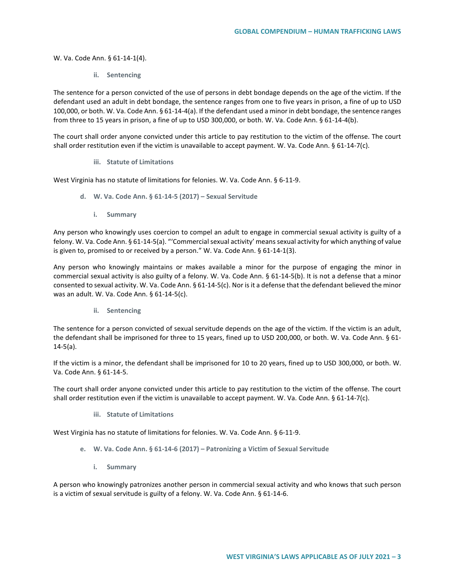W. Va. Code Ann. § 61-14-1(4).

**ii. Sentencing**

The sentence for a person convicted of the use of persons in debt bondage depends on the age of the victim. If the defendant used an adult in debt bondage, the sentence ranges from one to five years in prison, a fine of up to USD 100,000, or both. W. Va. Code Ann. § 61-14-4(a). If the defendant used a minor in debt bondage, the sentence ranges from three to 15 years in prison, a fine of up to USD 300,000, or both. W. Va. Code Ann. § 61-14-4(b).

The court shall order anyone convicted under this article to pay restitution to the victim of the offense. The court shall order restitution even if the victim is unavailable to accept payment. W. Va. Code Ann. § 61-14-7(c).

#### **iii. Statute of Limitations**

West Virginia has no statute of limitations for felonies. W. Va. Code Ann. § 6-11-9.

- **d. W. Va. Code Ann. § 61-14-5 (2017) – Sexual Servitude**
	- **i. Summary**

Any person who knowingly uses coercion to compel an adult to engage in commercial sexual activity is guilty of a felony. W. Va. Code Ann. § 61-14-5(a). "'Commercial sexual activity' means sexual activity for which anything of value is given to, promised to or received by a person." W. Va. Code Ann. § 61-14-1(3).

Any person who knowingly maintains or makes available a minor for the purpose of engaging the minor in commercial sexual activity is also guilty of a felony. W. Va. Code Ann. § 61-14-5(b). It is not a defense that a minor consented to sexual activity. W. Va. Code Ann. § 61-14-5(c). Nor is it a defense that the defendant believed the minor was an adult. W. Va. Code Ann. § 61-14-5(c).

**ii. Sentencing**

The sentence for a person convicted of sexual servitude depends on the age of the victim. If the victim is an adult, the defendant shall be imprisoned for three to 15 years, fined up to USD 200,000, or both. W. Va. Code Ann. § 61-14-5(a).

If the victim is a minor, the defendant shall be imprisoned for 10 to 20 years, fined up to USD 300,000, or both. W. Va. Code Ann. § 61-14-5.

The court shall order anyone convicted under this article to pay restitution to the victim of the offense. The court shall order restitution even if the victim is unavailable to accept payment. W. Va. Code Ann. § 61-14-7(c).

**iii. Statute of Limitations** 

West Virginia has no statute of limitations for felonies. W. Va. Code Ann. § 6-11-9.

- **e. W. Va. Code Ann. § 61-14-6 (2017) – Patronizing a Victim of Sexual Servitude**
	- **i. Summary**

A person who knowingly patronizes another person in commercial sexual activity and who knows that such person is a victim of sexual servitude is guilty of a felony. W. Va. Code Ann. § 61-14-6.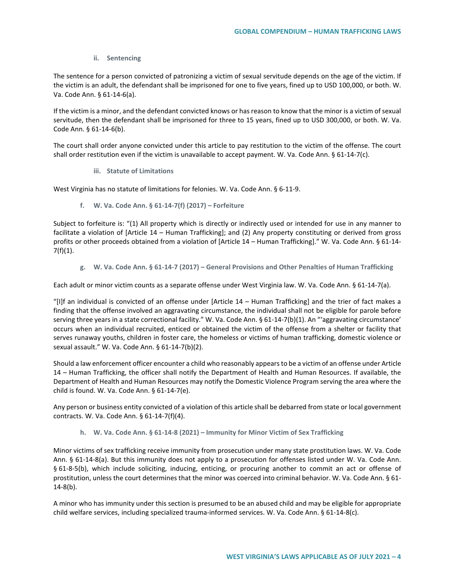## **ii. Sentencing**

The sentence for a person convicted of patronizing a victim of sexual servitude depends on the age of the victim. If the victim is an adult, the defendant shall be imprisoned for one to five years, fined up to USD 100,000, or both. W. Va. Code Ann. § 61-14-6(a).

If the victim is a minor, and the defendant convicted knows or has reason to know that the minor is a victim of sexual servitude, then the defendant shall be imprisoned for three to 15 years, fined up to USD 300,000, or both. W. Va. Code Ann. § 61-14-6(b).

The court shall order anyone convicted under this article to pay restitution to the victim of the offense. The court shall order restitution even if the victim is unavailable to accept payment. W. Va. Code Ann. § 61-14-7(c).

## **iii. Statute of Limitations**

West Virginia has no statute of limitations for felonies. W. Va. Code Ann. § 6-11-9.

## **f. W. Va. Code Ann. § 61-14-7(f) (2017) – Forfeiture**

Subject to forfeiture is: "(1) All property which is directly or indirectly used or intended for use in any manner to facilitate a violation of [Article 14 – Human Trafficking]; and (2) Any property constituting or derived from gross profits or other proceeds obtained from a violation of [Article 14 – Human Trafficking]." W. Va. Code Ann. § 61-14- 7(f)(1).

**g. W. Va. Code Ann. § 61-14-7 (2017) – General Provisions and Other Penalties of Human Trafficking**

Each adult or minor victim counts as a separate offense under West Virginia law. W. Va. Code Ann. § 61-14-7(a).

"[I]f an individual is convicted of an offense under [Article 14 – Human Trafficking] and the trier of fact makes a finding that the offense involved an aggravating circumstance, the individual shall not be eligible for parole before serving three years in a state correctional facility." W. Va. Code Ann. § 61-14-7(b)(1). An "'aggravating circumstance' occurs when an individual recruited, enticed or obtained the victim of the offense from a shelter or facility that serves runaway youths, children in foster care, the homeless or victims of human trafficking, domestic violence or sexual assault." W. Va. Code Ann. § 61-14-7(b)(2).

Should a law enforcement officer encounter a child who reasonably appears to be a victim of an offense under Article 14 – Human Trafficking, the officer shall notify the Department of Health and Human Resources. If available, the Department of Health and Human Resources may notify the Domestic Violence Program serving the area where the child is found. W. Va. Code Ann. § 61-14-7(e).

Any person or business entity convicted of a violation of this article shall be debarred from state or local government contracts. W. Va. Code Ann. § 61-14-7(f)(4).

## **h. W. Va. Code Ann. § 61-14-8 (2021) – Immunity for Minor Victim of Sex Trafficking**

Minor victims of sex trafficking receive immunity from prosecution under many state prostitution laws. W. Va. Code Ann. § 61-14-8(a). But this immunity does not apply to a prosecution for offenses listed under W. Va. Code Ann. § 61-8-5(b), which include soliciting, inducing, enticing, or procuring another to commit an act or offense of prostitution, unless the court determines that the minor was coerced into criminal behavior. W. Va. Code Ann. § 61-  $14-8(b)$ .

A minor who has immunity under this section is presumed to be an abused child and may be eligible for appropriate child welfare services, including specialized trauma-informed services. W. Va. Code Ann. § 61-14-8(c).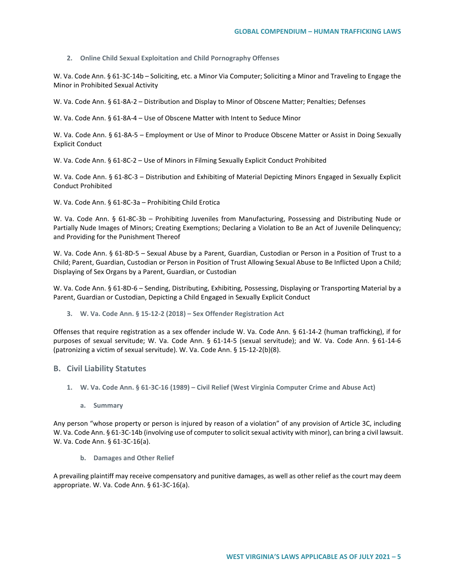#### **2. Online Child Sexual Exploitation and Child Pornography Offenses**

W. Va. Code Ann. § 61-3C-14b – Soliciting, etc. a Minor Via Computer; Soliciting a Minor and Traveling to Engage the Minor in Prohibited Sexual Activity

W. Va. Code Ann. § 61-8A-2 – Distribution and Display to Minor of Obscene Matter; Penalties; Defenses

W. Va. Code Ann. § 61-8A-4 – Use of Obscene Matter with Intent to Seduce Minor

W. Va. Code Ann. § 61-8A-5 – Employment or Use of Minor to Produce Obscene Matter or Assist in Doing Sexually Explicit Conduct

W. Va. Code Ann. § 61-8C-2 – Use of Minors in Filming Sexually Explicit Conduct Prohibited

W. Va. Code Ann. § 61-8C-3 – Distribution and Exhibiting of Material Depicting Minors Engaged in Sexually Explicit Conduct Prohibited

W. Va. Code Ann. § 61-8C-3a – Prohibiting Child Erotica

W. Va. Code Ann. § 61-8C-3b – Prohibiting Juveniles from Manufacturing, Possessing and Distributing Nude or Partially Nude Images of Minors; Creating Exemptions; Declaring a Violation to Be an Act of Juvenile Delinquency; and Providing for the Punishment Thereof

W. Va. Code Ann. § 61-8D-5 – Sexual Abuse by a Parent, Guardian, Custodian or Person in a Position of Trust to a Child; Parent, Guardian, Custodian or Person in Position of Trust Allowing Sexual Abuse to Be Inflicted Upon a Child; Displaying of Sex Organs by a Parent, Guardian, or Custodian

W. Va. Code Ann. § 61-8D-6 – Sending, Distributing, Exhibiting, Possessing, Displaying or Transporting Material by a Parent, Guardian or Custodian, Depicting a Child Engaged in Sexually Explicit Conduct

**3. W. Va. Code Ann. § 15-12-2 (2018) – Sex Offender Registration Act** 

Offenses that require registration as a sex offender include W. Va. Code Ann. § 61-14-2 (human trafficking), if for purposes of sexual servitude; W. Va. Code Ann. § 61-14-5 (sexual servitude); and W. Va. Code Ann. § 61-14-6 (patronizing a victim of sexual servitude). W. Va. Code Ann. § 15-12-2(b)(8).

## **B. Civil Liability Statutes**

- **1. W. Va. Code Ann. § 61-3C-16 (1989) – Civil Relief (West Virginia Computer Crime and Abuse Act)**
	- **a. Summary**

Any person "whose property or person is injured by reason of a violation" of any provision of Article 3C, including W. Va. Code Ann. § 61-3C-14b (involving use of computer to solicit sexual activity with minor), can bring a civil lawsuit. W. Va. Code Ann. § 61-3C-16(a).

**b. Damages and Other Relief**

A prevailing plaintiff may receive compensatory and punitive damages, as well as other relief as the court may deem appropriate. W. Va. Code Ann. § 61-3C-16(a).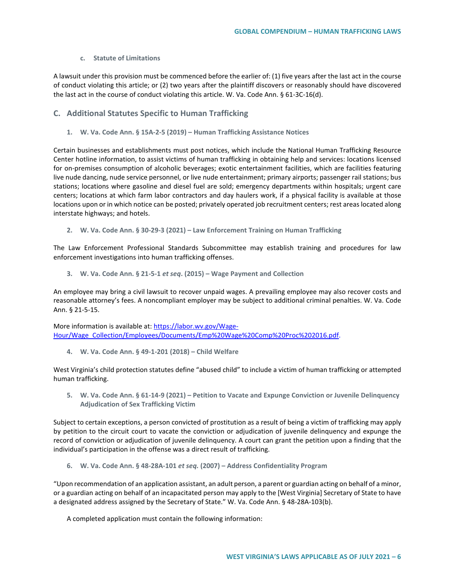### **c. Statute of Limitations**

A lawsuit under this provision must be commenced before the earlier of: (1) five years after the last act in the course of conduct violating this article; or (2) two years after the plaintiff discovers or reasonably should have discovered the last act in the course of conduct violating this article. W. Va. Code Ann. § 61-3C-16(d).

## **C. Additional Statutes Specific to Human Trafficking**

**1. W. Va. Code Ann. § 15A-2-5 (2019) – Human Trafficking Assistance Notices**

Certain businesses and establishments must post notices, which include the National Human Trafficking Resource Center hotline information, to assist victims of human trafficking in obtaining help and services: locations licensed for on-premises consumption of alcoholic beverages; exotic entertainment facilities, which are facilities featuring live nude dancing, nude service personnel, or live nude entertainment; primary airports; passenger rail stations; bus stations; locations where gasoline and diesel fuel are sold; emergency departments within hospitals; urgent care centers; locations at which farm labor contractors and day haulers work, if a physical facility is available at those locations upon or in which notice can be posted; privately operated job recruitment centers; rest areas located along interstate highways; and hotels.

**2. W. Va. Code Ann. § 30-29-3 (2021) – Law Enforcement Training on Human Trafficking**

The Law Enforcement Professional Standards Subcommittee may establish training and procedures for law enforcement investigations into human trafficking offenses.

**3. W. Va. Code Ann. § 21-5-1** *et seq***. (2015) – Wage Payment and Collection** 

An employee may bring a civil lawsuit to recover unpaid wages. A prevailing employee may also recover costs and reasonable attorney's fees. A noncompliant employer may be subject to additional criminal penalties. W. Va. Code Ann. § 21-5-15.

More information is available at: [https://labor.wv.gov/Wage-](https://labor.wv.gov/Wage-Hour/Wage_Collection/Employees/Documents/Emp%20Wage%20Comp%20Proc%202016.pdf)[Hour/Wage\\_Collection/Employees/Documents/Emp%20Wage%20Comp%20Proc%202016.pdf.](https://labor.wv.gov/Wage-Hour/Wage_Collection/Employees/Documents/Emp%20Wage%20Comp%20Proc%202016.pdf)

**4. W. Va. Code Ann. § 49-1-201 (2018) – Child Welfare**

West Virginia's child protection statutes define "abused child" to include a victim of human trafficking or attempted human trafficking.

**5. W. Va. Code Ann. § 61-14-9 (2021) – Petition to Vacate and Expunge Conviction or Juvenile Delinquency Adjudication of Sex Trafficking Victim**

Subject to certain exceptions, a person convicted of prostitution as a result of being a victim of trafficking may apply by petition to the circuit court to vacate the conviction or adjudication of juvenile delinquency and expunge the record of conviction or adjudication of juvenile delinquency. A court can grant the petition upon a finding that the individual's participation in the offense was a direct result of trafficking.

**6. W. Va. Code Ann. § 48-28A-101** *et seq.* **(2007) – Address Confidentiality Program** 

"Upon recommendation of an application assistant, an adult person, a parent or guardian acting on behalf of a minor, or a guardian acting on behalf of an incapacitated person may apply to the [West Virginia] Secretary of State to have a designated address assigned by the Secretary of State." W. Va. Code Ann. § 48-28A-103(b).

A completed application must contain the following information: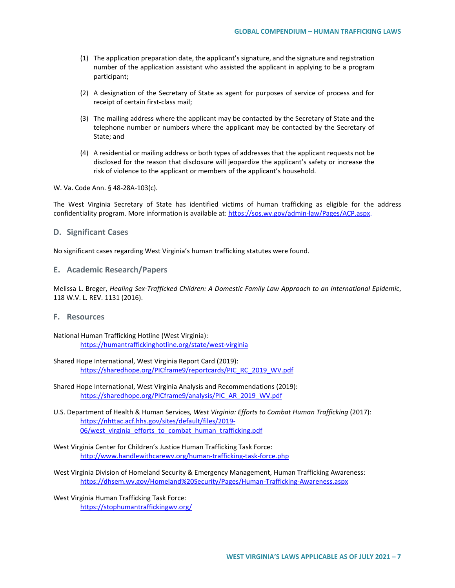- (1) The application preparation date, the applicant's signature, and the signature and registration number of the application assistant who assisted the applicant in applying to be a program participant;
- (2) A designation of the Secretary of State as agent for purposes of service of process and for receipt of certain first-class mail;
- (3) The mailing address where the applicant may be contacted by the Secretary of State and the telephone number or numbers where the applicant may be contacted by the Secretary of State; and
- (4) A residential or mailing address or both types of addresses that the applicant requests not be disclosed for the reason that disclosure will jeopardize the applicant's safety or increase the risk of violence to the applicant or members of the applicant's household.

W. Va. Code Ann. § 48-28A-103(c).

The West Virginia Secretary of State has identified victims of human trafficking as eligible for the address confidentiality program. More information is available at[: https://sos.wv.gov/admin-law/Pages/ACP.aspx.](https://sos.wv.gov/admin-law/Pages/ACP.aspx)

### **D. Significant Cases**

No significant cases regarding West Virginia's human trafficking statutes were found.

## **E. Academic Research/Papers**

Melissa L. Breger, *Healing Sex-Trafficked Children: A Domestic Family Law Approach to an International Epidemic*, 118 W.V. L. REV. 1131 (2016).

# **F. Resources**

National Human Trafficking Hotline (West Virginia): <https://humantraffickinghotline.org/state/west-virginia>

Shared Hope International, West Virginia Report Card (2019): [https://sharedhope.org/PICframe9/reportcards/PIC\\_RC\\_2019\\_WV.pdf](https://sharedhope.org/PICframe9/reportcards/PIC_RC_2019_WV.pdf)

- Shared Hope International, West Virginia Analysis and Recommendations (2019): [https://sharedhope.org/PICframe9/analysis/PIC\\_AR\\_2019\\_WV.pdf](https://sharedhope.org/PICframe9/analysis/PIC_AR_2019_WV.pdf)
- U.S. Department of Health & Human Services*, West Virginia: Efforts to Combat Human Trafficking* (2017): [https://nhttac.acf.hhs.gov/sites/default/files/2019-](https://nhttac.acf.hhs.gov/sites/default/files/2019-06/west_virginia_efforts_to_combat_human_trafficking.pdf) 06/west virginia efforts to combat human trafficking.pdf
- West Virginia Center for Children's Justice Human Trafficking Task Force: <http://www.handlewithcarewv.org/human-trafficking-task-force.php>
- West Virginia Division of Homeland Security & Emergency Management, Human Trafficking Awareness: <https://dhsem.wv.gov/Homeland%20Security/Pages/Human-Trafficking-Awareness.aspx>

West Virginia Human Trafficking Task Force: <https://stophumantraffickingwv.org/>